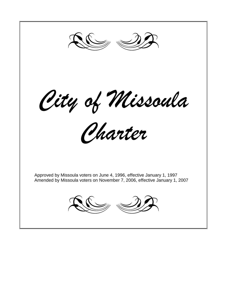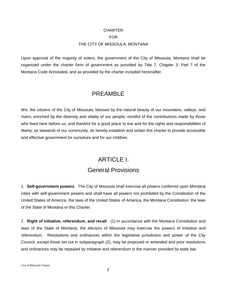#### **CHARTER** FOR THE CITY OF MISSOULA, MONTANA

Upon approval of the majority of voters, the government of the City of Missoula, Montana shall be organized under the charter form of government as provided by Title 7, Chapter 3, Part 7 of the Montana Code Annotated, and as provided by the charter included hereinafter.

#### PREAMBLE

We, the citizens of the City of Missoula, blessed by the natural beauty of our mountains, valleys, and rivers; enriched by the diversity and vitality of our people; mindful of the contributions made by those who lived here before us; and thankful for a good place to live and for the rights and responsibilities of liberty; as stewards of our community, do hereby establish and ordain this charter to provide accessible and effective government for ourselves and for our children.

### ARTICLE I. General Provisions

1. **Self-government powers**. The City of Missoula shall exercise all powers conferred upon Montana cities with self-government powers and shall have all powers not prohibited by the Constitution of the United States of America, the laws of the United States of America, the Montana Constitution, the laws of the State of Montana or this Charter.

2. **Right of initiative, referendum, and recall**. (1) In accordance with the Montana Constitution and laws of the State of Montana, the electors of Missoula may exercise the powers of initiative and referendum. Resolutions and ordinances within the legislative jurisdiction and power of the City Council, except those set out in subparagraph (2), may be proposed or amended and prior resolutions and ordinances may be repealed by initiative and referendum in the manner provided by state law.

City of Missoula Charter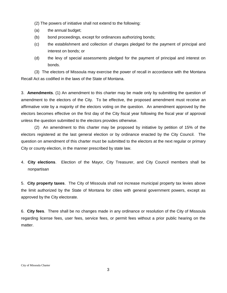(2) The powers of initiative shall not extend to the following:

- (a) the annual budget;
- (b) bond proceedings, except for ordinances authorizing bonds;
- (c) the establishment and collection of charges pledged for the payment of principal and interest on bonds; or
- (d) the levy of special assessments pledged for the payment of principal and interest on bonds.

(3) The electors of Missoula may exercise the power of recall in accordance with the Montana Recall Act as codified in the laws of the State of Montana.

3. **Amendments**. (1) An amendment to this charter may be made only by submitting the question of amendment to the electors of the City. To be effective, the proposed amendment must receive an affirmative vote by a majority of the electors voting on the question. An amendment approved by the electors becomes effective on the first day of the City fiscal year following the fiscal year of approval unless the question submitted to the electors provides otherwise.

(2) An amendment to this charter may be proposed by initiative by petition of 15% of the electors registered at the last general election or by ordinance enacted by the City Council. The question on amendment of this charter must be submitted to the electors at the next regular or primary City or county election, in the manner prescribed by state law.

4. **City elections**. Election of the Mayor, City Treasurer, and City Council members shall be nonpartisan

5. **City property taxes**. The City of Missoula shall not increase municipal property tax levies above the limit authorized by the State of Montana for cities with general government powers, except as approved by the City electorate.

6. **City fees**. There shall be no changes made in any ordinance or resolution of the City of Missoula regarding license fees, user fees, service fees, or permit fees without a prior public hearing on the matter.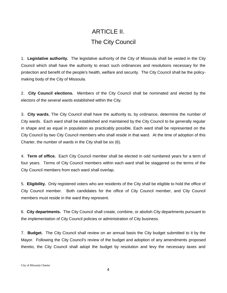## ARTICLE II. The City Council

1. **Legislative authority.** The legislative authority of the City of Missoula shall be vested in the City Council which shall have the authority to enact such ordinances and resolutions necessary for the protection and benefit of the people's health, welfare and security. The City Council shall be the policymaking body of the City of Missoula.

2. **City Council elections.** Members of the City Council shall be nominated and elected by the electors of the several wards established within the City.

3. **City wards.** The City Council shall have the authority to, by ordinance, determine the number of City wards. Each ward shall be established and maintained by the City Council to be generally regular in shape and as equal in population as practicably possible. Each ward shall be represented on the City Council by two City Council members who shall reside in that ward. At the time of adoption of this Charter, the number of wards in the City shall be six (6).

4. **Term of office.** Each City Council member shall be elected in odd numbered years for a term of four years. Terms of City Council members within each ward shall be staggered so the terms of the City Council members from each ward shall overlap.

5. **Eligibility.** Only registered voters who are residents of the City shall be eligible to hold the office of City Council member. Both candidates for the office of City Council member, and City Council members must reside in the ward they represent.

6. **City departments.** The City Council shall create, combine, or abolish City departments pursuant to the implementation of City Council policies or administration of City business.

7. **Budget.** The City Council shall review on an annual basis the City budget submitted to it by the Mayor. Following the City Council's review of the budget and adoption of any amendments proposed thereto, the City Council shall adopt the budget by resolution and levy the necessary taxes and

City of Missoula Charter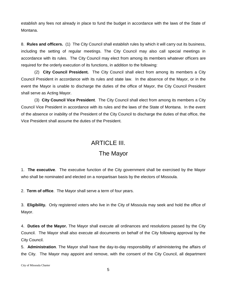establish any fees not already in place to fund the budget in accordance with the laws of the State of Montana.

8. **Rules and officers.** (1) The City Council shall establish rules by which it will carry out its business, including the setting of regular meetings. The City Council may also call special meetings in accordance with its rules. The City Council may elect from among its members whatever officers are required for the orderly execution of its functions, in addition to the following:

(2) **City Council President.** The City Council shall elect from among its members a City Council President in accordance with its rules and state law. In the absence of the Mayor, or in the event the Mayor is unable to discharge the duties of the office of Mayor, the City Council President shall serve as Acting Mayor.

(3) **City Council Vice President**. The City Council shall elect from among its members a City Council Vice President in accordance with its rules and the laws of the State of Montana. In the event of the absence or inability of the President of the City Council to discharge the duties of that office, the Vice President shall assume the duties of the President.

#### ARTICLE III.

### The Mayor

1. **The executive**. The executive function of the City government shall be exercised by the Mayor who shall be nominated and elected on a nonpartisan basis by the electors of Missoula.

2. **Term of office**. The Mayor shall serve a term of four years.

3. **Eligibility.** Only registered voters who live in the City of Missoula may seek and hold the office of Mayor.

4. **Duties of the Mayor.** The Mayor shall execute all ordinances and resolutions passed by the City Council. The Mayor shall also execute all documents on behalf of the City following approval by the City Council.

5. **Administration**. The Mayor shall have the day-to-day responsibility of administering the affairs of the City. The Mayor may appoint and remove, with the consent of the City Council, all department

City of Missoula Charter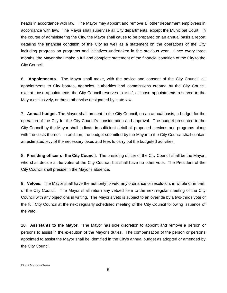heads in accordance with law. The Mayor may appoint and remove all other department employees in accordance with law. The Mayor shall supervise all City departments, except the Municipal Court.In the course of administering the City, the Mayor shall cause to be prepared on an annual basis a report detailing the financial condition of the City as well as a statement on the operations of the City including progress on programs and initiatives undertaken in the previous year. Once every three months, the Mayor shall make a full and complete statement of the financial condition of the City to the City Council.

6. **Appointments.** The Mayor shall make, with the advice and consent of the City Council, all appointments to City boards, agencies, authorities and commissions created by the City Council except those appointments the City Council reserves to itself, or those appointments reserved to the Mayor exclusively, or those otherwise designated by state law.

7. **Annual budget.** The Mayor shall present to the City Council, on an annual basis, a budget for the operation of the City for the City Council's consideration and approval. The budget presented to the City Council by the Mayor shall indicate in sufficient detail all proposed services and programs along with the costs thereof. In addition, the budget submitted by the Mayor to the City Council shall contain an estimated levy of the necessary taxes and fees to carry out the budgeted activities.

8. **Presiding officer of the City Council**. The presiding officer of the City Council shall be the Mayor, who shall decide all tie votes of the City Council, but shall have no other vote. The President of the City Council shall preside in the Mayor's absence.

9. **Vetoes.** The Mayor shall have the authority to veto any ordinance or resolution, in whole or in part, of the City Council. The Mayor shall return any vetoed item to the next regular meeting of the City Council with any objections in writing. The Mayor's veto is subject to an override by a two-thirds vote of the full City Council at the next regularly scheduled meeting of the City Council following issuance of the veto.

10. **Assistants to the Mayor**. The Mayor has sole discretion to appoint and remove a person or persons to assist in the execution of the Mayor's duties. The compensation of the person or persons appointed to assist the Mayor shall be identified in the City's annual budget as adopted or amended by the City Council.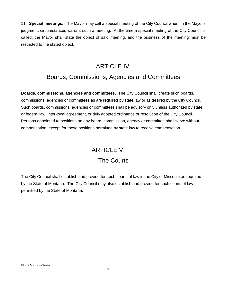11. **Special meetings.** The Mayor may call a special meeting of the City Council when, in the Mayor's judgment, circumstances warrant such a meeting. At the time a special meeting of the City Council is called, the Mayor shall state the object of said meeting, and the business of the meeting must be restricted to the stated object.

## ARTICLE IV. Boards, Commissions, Agencies and Committees

**Boards, commissions, agencies and committees.** The City Council shall create such boards, commissions, agencies or committees as are required by state law or as desired by the City Council. Such boards, commissions, agencies or committees shall be advisory only unless authorized by state or federal law, inter-local agreement, or duly adopted ordinance or resolution of the City Council. Persons appointed to positions on any board, commission, agency or committee shall serve without compensation, except for those positions permitted by state law to receive compensation.

# ARTICLE V. The Courts

The City Council shall establish and provide for such courts of law in the City of Missoula as required by the State of Montana. The City Council may also establish and provide for such courts of law permitted by the State of Montana.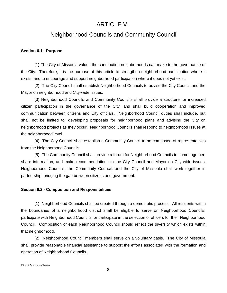#### ARTICLE VI.

#### Neighborhood Councils and Community Council

#### **Section 6.1 - Purpose**

(1) The City of Missoula values the contribution neighborhoods can make to the governance of the City. Therefore, it is the purpose of this article to strengthen neighborhood participation where it exists, and to encourage and support neighborhood participation where it does not yet exist.

(2) The City Council shall establish Neighborhood Councils to advise the City Council and the Mayor on neighborhood and City-wide issues.

(3) Neighborhood Councils and Community Councils shall provide a structure for increased citizen participation in the governance of the City, and shall build cooperation and improved communication between citizens and City officials. Neighborhood Council duties shall include, but shall not be limited to, developing proposals for neighborhood plans and advising the City on neighborhood projects as they occur. Neighborhood Councils shall respond to neighborhood issues at the neighborhood level.

(4) The City Council shall establish a Community Council to be composed of representatives from the Neighborhood Councils.

(5) The Community Council shall provide a forum for Neighborhood Councils to come together, share information, and make recommendations to the City Council and Mayor on City-wide issues. Neighborhood Councils, the Community Council, and the City of Missoula shall work together in partnership, bridging the gap between citizens and government.

#### **Section 6.2 - Composition and Responsibilities**

(1) Neighborhood Councils shall be created through a democratic process. All residents within the boundaries of a neighborhood district shall be eligible to serve on Neighborhood Councils, participate with Neighborhood Councils, or participate in the selection of officers for their Neighborhood Council. Composition of each Neighborhood Council should reflect the diversity which exists within that neighborhood.

(2) Neighborhood Council members shall serve on a voluntary basis. The City of Missoula shall provide reasonable financial assistance to support the efforts associated with the formation and operation of Neighborhood Councils.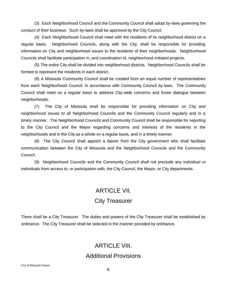(3) Each Neighborhood Council and the Community Council shall adopt by-laws governing the conduct of their business. Such by-laws shall be approved by the City Council.

(4) Each Neighborhood Council shall meet with the residents of its neighborhood district on a regular basis. Neighborhood Councils, along with the City, shall be responsible for providing information on City and neighborhood issues to the residents of their neighborhoods. Neighborhood Councils shall facilitate participation in, and coordination of, neighborhood-initiated projects.

(5) The entire City shall be divided into neighborhood districts. Neighborhood Councils shall be formed to represent the residents in each district.

(6) A Missoula Community Council shall be created from an equal number of representatives from each Neighborhood Council, in accordance with Community Council by-laws. The Community Council shall meet on a regular basis to address City-wide concerns and foster dialogue between neighborhoods.

(7) The City of Missoula shall be responsible for providing information on City and neighborhood issues to all Neighborhood Councils and the Community Council regularly and in a timely manner. The Neighborhood Councils and Community Council shall be responsible for reporting to the City Council and the Mayor regarding concerns and interests of the residents in the neighborhoods and in the City as a whole on a regular basis, and in a timely manner.

(8) The City Council shall appoint a liaison from the City government who shall facilitate communication between the City of Missoula and the Neighborhood Councils and the Community Council.

(9) Neighborhood Councils and the Community Council shall not preclude any individual or individuals from access to, or participation with, the City Council, the Mayor, or City departments.

### ARTICLE VII.

### City Treasurer

There shall be a City Treasurer. The duties and powers of the City Treasurer shall be established by ordinance. The City Treasurer shall be selected in the manner provided by ordinance.

### ARTICLE VIII.

#### Additional Provisions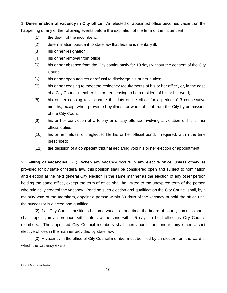1. **Determination of vacancy in City office**. An elected or appointed office becomes vacant on the happening of any of the following events before the expiration of the term of the incumbent:

- (1) the death of the incumbent;
- (2) determination pursuant to state law that he/she is mentally ill;
- (3) his or her resignation;
- (4) his or her removal from office;
- (5) his or her absence from the City continuously for 10 days without the consent of the City Council;
- (6) his or her open neglect or refusal to discharge his or her duties;
- (7) his or her ceasing to meet the residency requirements of his or her office, or, in the case of a City Council member, his or her ceasing to be a resident of his or her ward;
- (8) his or her ceasing to discharge the duty of the office for a period of 3 consecutive months, except when prevented by illness or when absent from the City by permission of the City Council;
- (9) his or her conviction of a felony or of any offence involving a violation of his or her official duties;
- (10) his or her refusal or neglect to file his or her official bond, if required, within the time prescribed;
- (11) the decision of a competent tribunal declaring void his or her election or appointment.

2. **Filling of vacancies**. (1) When any vacancy occurs in any elective office, unless otherwise provided for by state or federal law, this position shall be considered open and subject to nomination and election at the next general City election in the same manner as the election of any other person holding the same office, except the term of office shall be limited to the unexpired term of the person who originally created the vacancy. Pending such election and qualification the City Council shall, by a majority vote of the members, appoint a person within 30 days of the vacancy to hold the office until the successor is elected and qualified.

(2) If all City Council positions become vacant at one time, the board of county commissioners shall appoint, in accordance with state law, persons within 5 days to hold office as City Council members. The appointed City Council members shall then appoint persons to any other vacant elective offices in the manner provided by state law.

(3) A vacancy in the office of City Council member must be filled by an elector from the ward in which the vacancy exists.